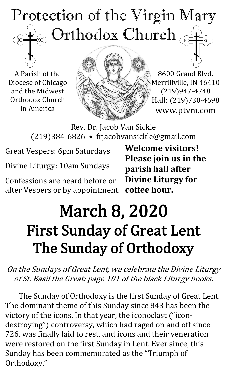# Protection of the Virgin Mary Orthodox Church  $\overline{C}$

A Parish of the Diocese of Chicago and the Midwest Orthodox Church in America



8600 Grand Blvd. Merrillville, IN 46410 (219)947-4748 Hall: (219)730-4698 www.ptvm.com

Rev. Dr. Jacob Van Sickle (219)384-6826 • frjacobvansickle@gmail.com

Great Vespers: 6pm Saturdays

Divine Liturgy: 10am Sundays

Confessions are heard before or after Vespers or by appointment. **Welcome visitors! Please join us in the parish hall after Divine Liturgy for coffee hour.**

# March 8, 2020 First Sunday of Great Lent The Sunday of Orthodoxy

On the Sundays of Great Lent, we celebrate the Divine Liturgy of St. Basil the Great: page 101 of the black Liturgy books.

The Sunday of Orthodoxy is the first Sunday of Great Lent. The dominant theme of this Sunday since 843 has been the victory of the icons. In that year, the iconoclast ("icondestroying") controversy, which had raged on and off since 726, was finally laid to rest, and icons and their veneration were restored on the first Sunday in Lent. Ever since, this Sunday has been commemorated as the "Triumph of Orthodoxy."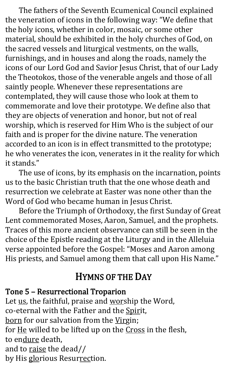The fathers of the Seventh Ecumenical Council explained the veneration of icons in the following way: "We define that the holy icons, whether in color, mosaic, or some other material, should be exhibited in the holy churches of God, on the sacred vessels and liturgical vestments, on the walls, furnishings, and in houses and along the roads, namely the icons of our Lord God and Savior Jesus Christ, that of our Lady the Theotokos, those of the venerable angels and those of all saintly people. Whenever these representations are contemplated, they will cause those who look at them to commemorate and love their prototype. We define also that they are objects of veneration and honor, but not of real worship, which is reserved for Him Who is the subject of our faith and is proper for the divine nature. The veneration accorded to an icon is in effect transmitted to the prototype; he who venerates the icon, venerates in it the reality for which it stands."

The use of icons, by its emphasis on the incarnation, points us to the basic Christian truth that the one whose death and resurrection we celebrate at Easter was none other than the Word of God who became human in Jesus Christ.

Before the Triumph of Orthodoxy, the first Sunday of Great Lent commemorated Moses, Aaron, Samuel, and the prophets. Traces of this more ancient observance can still be seen in the choice of the Epistle reading at the Liturgy and in the Alleluia verse appointed before the Gospel: "Moses and Aaron among His priests, and Samuel among them that call upon His Name."

## HYMNS OF THE DAY

#### Tone 5 – Resurrectional Troparion

Let us, the faithful, praise and worship the Word, co-eternal with the Father and the Spirit, born for our salvation from the Virgin; for He willed to be lifted up on the Cross in the flesh, to endure death, and to raise the dead// by His glorious Resurrection.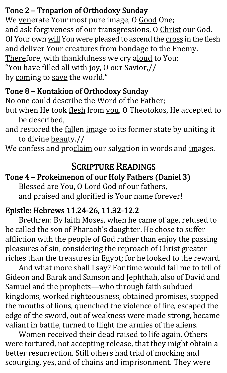#### Tone 2 – Troparion of Orthodoxy Sunday

We venerate Your most pure image, O Good One; and ask forgiveness of our transgressions, O Christ our God. Of Your own will You were pleased to ascend the cross in the flesh and deliver Your creatures from bondage to the Enemy. Therefore, with thankfulness we cry aloud to You: "You have filled all with joy, O our Savior,// by coming to save the world."

#### Tone 8 – Kontakion of Orthodoxy Sunday

No one could describe the Word of the Father;

- but when He took flesh from you, O Theotokos, He accepted to be described,
- and restored the **fallen image to its former state by uniting it** to divine beauty.//

We confess and proclaim our salvation in words and images.

## SCRIPTURE READINGS

# Tone 4 – Prokeimenon of our Holy Fathers (Daniel 3)

Blessed are You, O Lord God of our fathers, and praised and glorified is Your name forever!

#### Epistle: Hebrews 11.24-26, 11.32-12.2

Brethren: By faith Moses, when he came of age, refused to be called the son of Pharaoh's daughter. He chose to suffer affliction with the people of God rather than enjoy the passing pleasures of sin, considering the reproach of Christ greater riches than the treasures in Egypt; for he looked to the reward.

And what more shall I say? For time would fail me to tell of Gideon and Barak and Samson and Jephthah, also of David and Samuel and the prophets—who through faith subdued kingdoms, worked righteousness, obtained promises, stopped the mouths of lions, quenched the violence of fire, escaped the edge of the sword, out of weakness were made strong, became valiant in battle, turned to flight the armies of the aliens.

Women received their dead raised to life again. Others were tortured, not accepting release, that they might obtain a better resurrection. Still others had trial of mocking and scourging, yes, and of chains and imprisonment. They were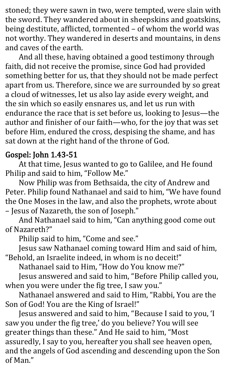stoned; they were sawn in two, were tempted, were slain with the sword. They wandered about in sheepskins and goatskins, being destitute, afflicted, tormented – of whom the world was not worthy. They wandered in deserts and mountains, in dens and caves of the earth.

And all these, having obtained a good testimony through faith, did not receive the promise, since God had provided something better for us, that they should not be made perfect apart from us. Therefore, since we are surrounded by so great a cloud of witnesses, let us also lay aside every weight, and the sin which so easily ensnares us, and let us run with endurance the race that is set before us, looking to Jesus—the author and finisher of our faith—who, for the joy that was set before Him, endured the cross, despising the shame, and has sat down at the right hand of the throne of God.

#### Gospel: John 1.43-51

At that time, Jesus wanted to go to Galilee, and He found Philip and said to him, "Follow Me."

Now Philip was from Bethsaida, the city of Andrew and Peter. Philip found Nathanael and said to him, "We have found the One Moses in the law, and also the prophets, wrote about – Jesus of Nazareth, the son of Joseph."

And Nathanael said to him, "Can anything good come out of Nazareth?"

Philip said to him, "Come and see."

Jesus saw Nathanael coming toward Him and said of him, "Behold, an Israelite indeed, in whom is no deceit!"

Nathanael said to Him, "How do You know me?"

Jesus answered and said to him, "Before Philip called you, when you were under the fig tree, I saw you."

Nathanael answered and said to Him, "Rabbi, You are the Son of God! You are the King of Israel!"

Jesus answered and said to him, "Because I said to you, 'I saw you under the fig tree,' do you believe? You will see greater things than these." And He said to him, "Most assuredly, I say to you, hereafter you shall see heaven open, and the angels of God ascending and descending upon the Son of Man."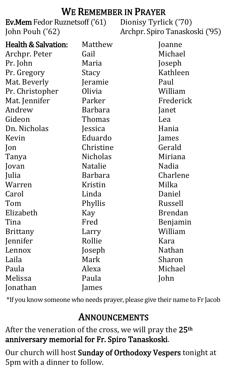#### WE REMEMBER IN PRAYER

Ev.Mem Fedor Ruznetsoff ('61) Dionisy Tyrlick ('70) John Pouh ('62)

Archpr. Spiro Tanaskoski ('95)

| <b>Health &amp; Salvation:</b> | Matthew         | Joanne         |
|--------------------------------|-----------------|----------------|
| Archpr. Peter                  | Gail            | Michael        |
| Pr. John                       | Maria           | Joseph         |
| Pr. Gregory                    | Stacy           | Kathleen       |
| Mat. Beverly                   | Jeramie         | Paul           |
| Pr. Christopher                | Olivia          | William        |
| Mat. Jennifer                  | Parker          | Frederick      |
| Andrew                         | <b>Barbara</b>  | Janet          |
| Gideon                         | Thomas          | Lea            |
| Dn. Nicholas                   | Jessica         | Hania          |
| Kevin                          | Eduardo         | James          |
| $\mathsf{lon}$                 | Christine       | Gerald         |
| Tanya                          | <b>Nicholas</b> | Miriana        |
| Jovan                          | Natalie         | Nadia          |
| Julia                          | <b>Barbara</b>  | Charlene       |
| Warren                         | Kristin         | Milka          |
| Carol                          | Linda           | Daniel         |
| Tom                            | Phyllis         | Russell        |
| Elizabeth                      | Kay             | <b>Brendan</b> |
| Tina                           | Fred            | Benjamin       |
| <b>Brittany</b>                | Larry           | William        |
| Jennifer                       | Rollie          | Kara           |
| Lennox                         | Joseph          | Nathan         |
| Laila                          | Mark            | Sharon         |
| Paula                          | Alexa           | Michael        |
| Melissa                        | Paula           | John           |
| Jonathan                       | James           |                |

\*If you know someone who needs prayer, please give their name to Fr Jacob

## ANNOUNCEMENTS

After the veneration of the cross, we will pray the 25<sup>th</sup> anniversary memorial for Fr. Spiro Tanaskoski.

Our church will host Sunday of Orthodoxy Vespers tonight at 5pm with a dinner to follow.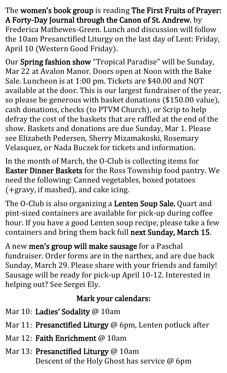The women's book group is reading The First Fruits of Prayer: A Forty-Day Journal through the Canon of St. Andrew, by Frederica Mathewes-Green. Lunch and discussion will follow the 10am Presanctified Liturgy on the last day of Lent: Friday, April 10 (Western Good Friday).

Our Spring fashion show "Tropical Paradise" will be Sunday, Mar 22 at Avalon Manor. Doors open at Noon with the Bake Sale. Luncheon is at 1:00 pm. Tickets are \$40.00 and NOT available at the door. This is our largest fundraiser of the year, so please be generous with basket donations (\$150.00 value), cash donations, checks (to PTVM Church), or Scrip to help defray the cost of the baskets that are raffled at the end of the show. Baskets and donations are due Sunday, Mar 1. Please see Elizabeth Pedersen, Sherry Mizamakoski, Rosemary Velasquez, or Nada Buczek for tickets and information.

In the month of March, the O-Club is collecting items for Easter Dinner Baskets for the Ross Township food pantry. We need the following: Canned vegetables, boxed potatoes (+gravy, if mashed), and cake icing.

The O-Club is also organizing a Lenten Soup Sale. Quart and pint-sized containers are available for pick-up during coffee hour. If you have a good Lenten soup recipe, please take a few containers and bring them back full next Sunday, March 15.

A new men's group will make sausage for a Paschal fundraiser. Order forms are in the narthex, and are due back Sunday, March 29. Please share with your friends and family! Sausage will be ready for pick-up April 10-12. Interested in helping out? See Sergei Ely.

#### Mark your calendars:

- Mar 10: Ladies' Sodality @ 10am
- Mar 11: Presanctified Liturgy @ 6pm, Lenten potluck after
- Mar 12: Faith Enrichment @ 10am
- Mar 13: Presanctified Liturgy @ 10am Descent of the Holy Ghost has service @ 6pm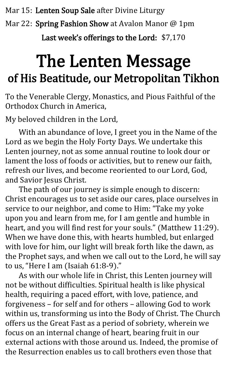Mar 15: Lenten Soup Sale after Divine Liturgy

Mar 22: Spring Fashion Show at Avalon Manor @ 1pm

Last week's offerings to the Lord: \$7,170

# The Lenten Message of His Beatitude, our Metropolitan Tikhon

To the Venerable Clergy, Monastics, and Pious Faithful of the Orthodox Church in America,

My beloved children in the Lord,

With an abundance of love, I greet you in the Name of the Lord as we begin the Holy Forty Days. We undertake this Lenten journey, not as some annual routine to look dour or lament the loss of foods or activities, but to renew our faith, refresh our lives, and become reoriented to our Lord, God, and Savior Jesus Christ.

The path of our journey is simple enough to discern: Christ encourages us to set aside our cares, place ourselves in service to our neighbor, and come to Him: "Take my yoke upon you and learn from me, for I am gentle and humble in heart, and you will find rest for your souls." (Matthew 11:29). When we have done this, with hearts humbled, but enlarged with love for him, our light will break forth like the dawn, as the Prophet says, and when we call out to the Lord, he will say to us, "Here I am (Isaiah 61:8-9)."

As with our whole life in Christ, this Lenten journey will not be without difficulties. Spiritual health is like physical health, requiring a paced effort, with love, patience, and forgiveness – for self and for others – allowing God to work within us, transforming us into the Body of Christ. The Church offers us the Great Fast as a period of sobriety, wherein we focus on an internal change of heart, bearing fruit in our external actions with those around us. Indeed, the promise of the Resurrection enables us to call brothers even those that